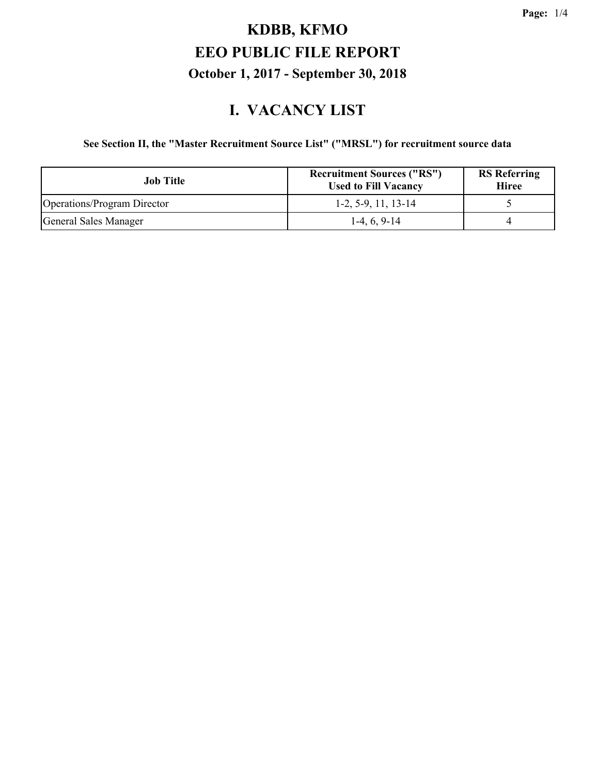#### **I. VACANCY LIST**

#### **See Section II, the "Master Recruitment Source List" ("MRSL") for recruitment source data**

| Job Title                          | <b>Recruitment Sources ("RS")</b><br><b>Used to Fill Vacancy</b> | <b>RS</b> Referring<br><b>Hiree</b> |
|------------------------------------|------------------------------------------------------------------|-------------------------------------|
| <b>Operations/Program Director</b> | $1-2, 5-9, 11, 13-14$                                            |                                     |
| General Sales Manager              | $1-4, 6, 9-14$                                                   |                                     |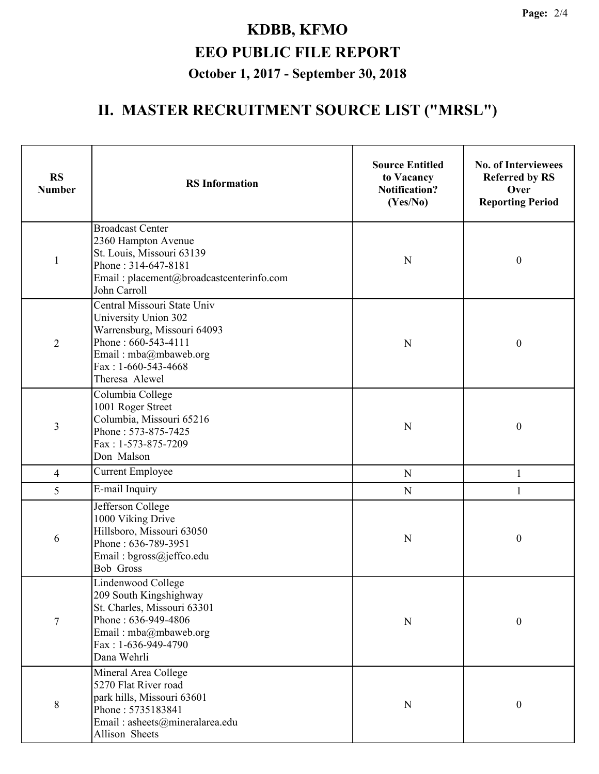## **II. MASTER RECRUITMENT SOURCE LIST ("MRSL")**

| <b>RS</b><br><b>Number</b> | <b>RS</b> Information                                                                                                                                                       | <b>Source Entitled</b><br>to Vacancy<br><b>Notification?</b><br>(Yes/No) | <b>No. of Interviewees</b><br><b>Referred by RS</b><br>Over<br><b>Reporting Period</b> |
|----------------------------|-----------------------------------------------------------------------------------------------------------------------------------------------------------------------------|--------------------------------------------------------------------------|----------------------------------------------------------------------------------------|
| $\mathbf{1}$               | <b>Broadcast Center</b><br>2360 Hampton Avenue<br>St. Louis, Missouri 63139<br>Phone: 314-647-8181<br>Email: placement@broadcastcenterinfo.com<br>John Carroll              | N                                                                        | $\boldsymbol{0}$                                                                       |
| $\overline{2}$             | Central Missouri State Univ<br>University Union 302<br>Warrensburg, Missouri 64093<br>Phone: 660-543-4111<br>Email: mba@mbaweb.org<br>Fax: 1-660-543-4668<br>Theresa Alewel | N                                                                        | $\boldsymbol{0}$                                                                       |
| $\mathfrak{Z}$             | Columbia College<br>1001 Roger Street<br>Columbia, Missouri 65216<br>Phone: 573-875-7425<br>Fax: 1-573-875-7209<br>Don Malson                                               | N                                                                        | $\boldsymbol{0}$                                                                       |
| $\overline{4}$             | <b>Current Employee</b>                                                                                                                                                     | ${\bf N}$                                                                | $\mathbf{1}$                                                                           |
| 5                          | E-mail Inquiry                                                                                                                                                              | ${\bf N}$                                                                | 1                                                                                      |
| 6                          | Jefferson College<br>1000 Viking Drive<br>Hillsboro, Missouri 63050<br>Phone: 636-789-3951<br>Email: bgross@jeffco.edu<br><b>Bob Gross</b>                                  | N                                                                        | $\boldsymbol{0}$                                                                       |
| $\overline{7}$             | Lindenwood College<br>209 South Kingshighway<br>St. Charles, Missouri 63301<br>Phone: 636-949-4806<br>Email: mba@mbaweb.org<br>Fax: 1-636-949-4790<br>Dana Wehrli           | $\mathbf N$                                                              | $\boldsymbol{0}$                                                                       |
| $8\,$                      | Mineral Area College<br>5270 Flat River road<br>park hills, Missouri 63601<br>Phone: 5735183841<br>Email: asheets@mineralarea.edu<br>Allison Sheets                         | $\mathbf N$                                                              | $\boldsymbol{0}$                                                                       |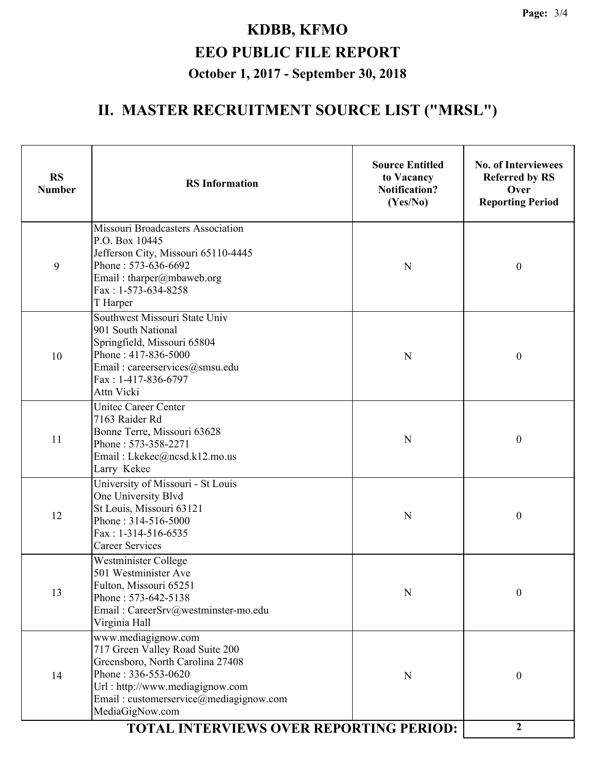## **II. MASTER RECRUITMENT SOURCE LIST ("MRSL")**

| <b>RS</b><br><b>Number</b> | <b>RS</b> Information                                                                                                                                                                                                                                               | <b>Source Entitled</b><br>to Vacancy<br><b>Notification?</b><br>(Yes/No) | <b>No. of Interviewees</b><br><b>Referred by RS</b><br>Over<br><b>Reporting Period</b> |
|----------------------------|---------------------------------------------------------------------------------------------------------------------------------------------------------------------------------------------------------------------------------------------------------------------|--------------------------------------------------------------------------|----------------------------------------------------------------------------------------|
| 9                          | Missouri Broadcasters Association<br>P.O. Box 10445<br>Jefferson City, Missouri 65110-4445<br>Phone: 573-636-6692<br>Email: tharper@mbaweb.org<br>Fax: 1-573-634-8258<br>T Harper                                                                                   | $\mathbf N$                                                              | $\boldsymbol{0}$                                                                       |
| 10                         | Southwest Missouri State Univ<br>901 South National<br>Springfield, Missouri 65804<br>Phone: 417-836-5000<br>Email: careerservices@smsu.edu<br>Fax: 1-417-836-6797<br>Attn Vicki                                                                                    | $\mathbf N$                                                              | $\boldsymbol{0}$                                                                       |
| 11                         | <b>Unitec Career Center</b><br>7163 Raider Rd<br>Bonne Terre, Missouri 63628<br>Phone: 573-358-2271<br>Email: Lkekec@ncsd.k12.mo.us<br>Larry Kekec                                                                                                                  | N                                                                        | $\boldsymbol{0}$                                                                       |
| 12                         | University of Missouri - St Louis<br>One University Blvd<br>St Louis, Missouri 63121<br>Phone: 314-516-5000<br>$Fax: 1-314-516-6535$<br><b>Career Services</b>                                                                                                      | N                                                                        | $\boldsymbol{0}$                                                                       |
| 13                         | Westminister College<br>501 Westminister Ave<br>Fulton, Missouri 65251<br>Phone: 573-642-5138<br>Email: CareerSrv@westminster-mo.edu<br>Virginia Hall                                                                                                               | N                                                                        | $\boldsymbol{0}$                                                                       |
| 14                         | www.mediagignow.com<br>717 Green Valley Road Suite 200<br>Greensboro, North Carolina 27408<br>Phone: 336-553-0620<br>Url: http://www.mediagignow.com<br>Email: customerservice@mediagignow.com<br>MediaGigNow.com<br><b>TOTAL INTERVIEWS OVER REPORTING PERIOD:</b> | N                                                                        | $\boldsymbol{0}$                                                                       |
|                            | $\boldsymbol{2}$                                                                                                                                                                                                                                                    |                                                                          |                                                                                        |